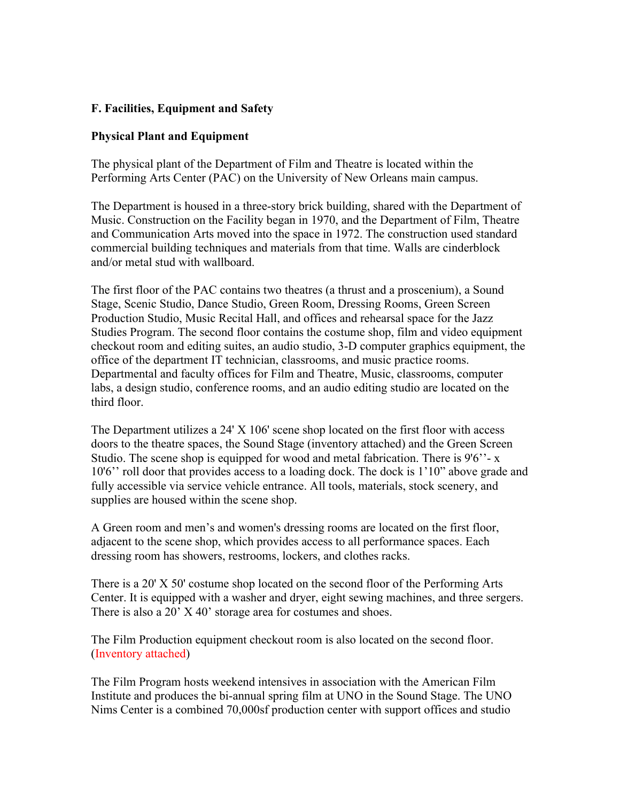# **F. Facilities, Equipment and Safety**

#### **Physical Plant and Equipment**

The physical plant of the Department of Film and Theatre is located within the Performing Arts Center (PAC) on the University of New Orleans main campus.

The Department is housed in a three-story brick building, shared with the Department of Music. Construction on the Facility began in 1970, and the Department of Film, Theatre and Communication Arts moved into the space in 1972. The construction used standard commercial building techniques and materials from that time. Walls are cinderblock and/or metal stud with wallboard.

The first floor of the PAC contains two theatres (a thrust and a proscenium), a Sound Stage, Scenic Studio, Dance Studio, Green Room, Dressing Rooms, Green Screen Production Studio, Music Recital Hall, and offices and rehearsal space for the Jazz Studies Program. The second floor contains the costume shop, film and video equipment checkout room and editing suites, an audio studio, 3-D computer graphics equipment, the office of the department IT technician, classrooms, and music practice rooms. Departmental and faculty offices for Film and Theatre, Music, classrooms, computer labs, a design studio, conference rooms, and an audio editing studio are located on the third floor.

The Department utilizes a 24' X 106' scene shop located on the first floor with access doors to the theatre spaces, the Sound Stage (inventory attached) and the Green Screen Studio. The scene shop is equipped for wood and metal fabrication. There is 9'6" - x 10'6'' roll door that provides access to a loading dock. The dock is 1'10" above grade and fully accessible via service vehicle entrance. All tools, materials, stock scenery, and supplies are housed within the scene shop.

A Green room and men's and women's dressing rooms are located on the first floor, adjacent to the scene shop, which provides access to all performance spaces. Each dressing room has showers, restrooms, lockers, and clothes racks.

There is a 20' X 50' costume shop located on the second floor of the Performing Arts Center. It is equipped with a washer and dryer, eight sewing machines, and three sergers. There is also a 20' X 40' storage area for costumes and shoes.

The Film Production equipment checkout room is also located on the second floor. (Inventory attached)

The Film Program hosts weekend intensives in association with the American Film Institute and produces the bi-annual spring film at UNO in the Sound Stage. The UNO Nims Center is a combined 70,000sf production center with support offices and studio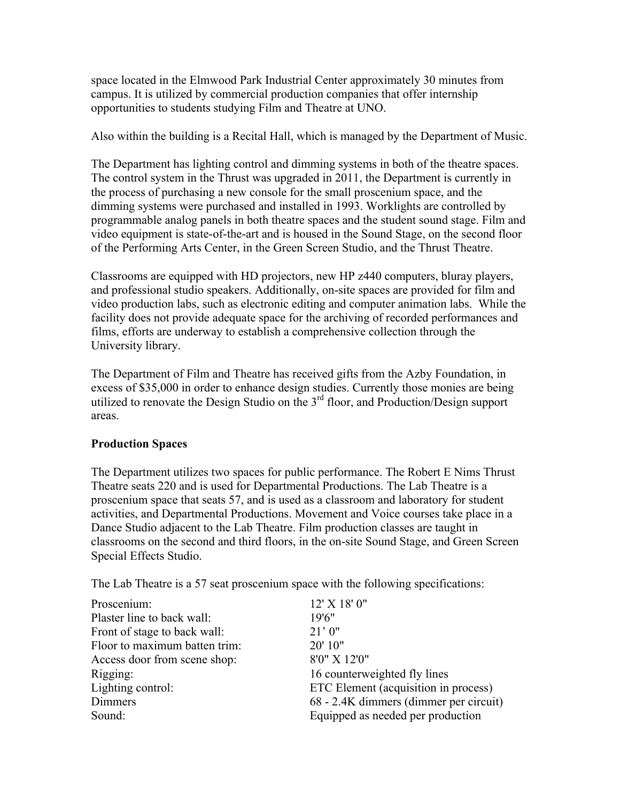space located in the Elmwood Park Industrial Center approximately 30 minutes from campus. It is utilized by commercial production companies that offer internship opportunities to students studying Film and Theatre at UNO.

Also within the building is a Recital Hall, which is managed by the Department of Music.

The Department has lighting control and dimming systems in both of the theatre spaces. The control system in the Thrust was upgraded in 2011, the Department is currently in the process of purchasing a new console for the small proscenium space, and the dimming systems were purchased and installed in 1993. Worklights are controlled by programmable analog panels in both theatre spaces and the student sound stage. Film and video equipment is state-of-the-art and is housed in the Sound Stage, on the second floor of the Performing Arts Center, in the Green Screen Studio, and the Thrust Theatre.

Classrooms are equipped with HD projectors, new HP z440 computers, bluray players, and professional studio speakers. Additionally, on-site spaces are provided for film and video production labs, such as electronic editing and computer animation labs. While the facility does not provide adequate space for the archiving of recorded performances and films, efforts are underway to establish a comprehensive collection through the University library.

The Department of Film and Theatre has received gifts from the Azby Foundation, in excess of \$35,000 in order to enhance design studies. Currently those monies are being utilized to renovate the Design Studio on the 3<sup>rd</sup> floor, and Production/Design support areas.

## **Production Spaces**

The Department utilizes two spaces for public performance. The Robert E Nims Thrust Theatre seats 220 and is used for Departmental Productions. The Lab Theatre is a proscenium space that seats 57, and is used as a classroom and laboratory for student activities, and Departmental Productions. Movement and Voice courses take place in a Dance Studio adjacent to the Lab Theatre. Film production classes are taught in classrooms on the second and third floors, in the on-site Sound Stage, and Green Screen Special Effects Studio.

The Lab Theatre is a 57 seat proscenium space with the following specifications:

| Proscenium:                   | 12' X 18' 0"                           |
|-------------------------------|----------------------------------------|
| Plaster line to back wall:    | 19'6''                                 |
| Front of stage to back wall:  | 21'0''                                 |
| Floor to maximum batten trim: | 20' 10"                                |
| Access door from scene shop:  | 8'0" X 12'0"                           |
| Rigging:                      | 16 counterweighted fly lines           |
| Lighting control:             | ETC Element (acquisition in process)   |
| <b>Dimmers</b>                | 68 - 2.4K dimmers (dimmer per circuit) |
| Sound:                        | Equipped as needed per production      |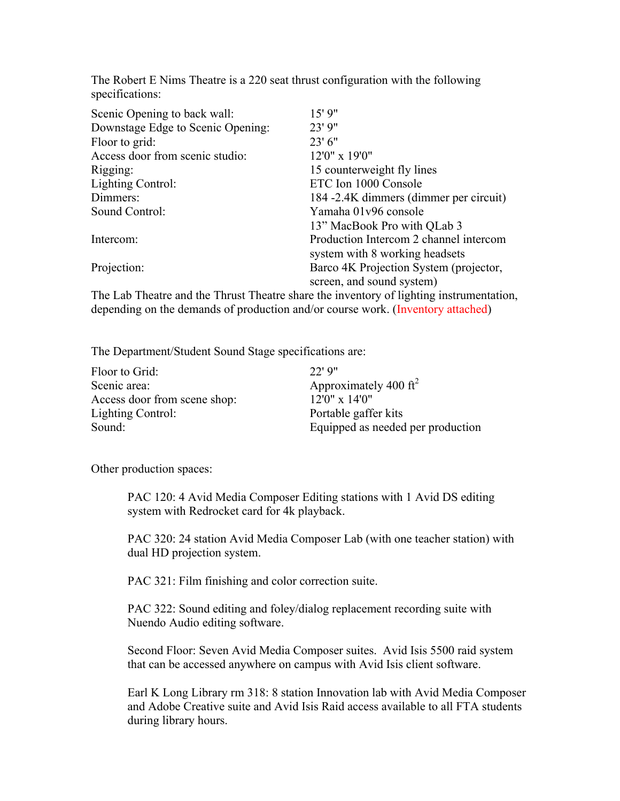The Robert E Nims Theatre is a 220 seat thrust configuration with the following specifications:

| Scenic Opening to back wall:      | 15'9''                                 |
|-----------------------------------|----------------------------------------|
| Downstage Edge to Scenic Opening: | 23' 9"                                 |
| Floor to grid:                    | $23'$ 6"                               |
| Access door from scenic studio:   | 12'0" x 19'0"                          |
| Rigging:                          | 15 counterweight fly lines             |
| Lighting Control:                 | ETC Ion 1000 Console                   |
| Dimmers:                          | 184 -2.4K dimmers (dimmer per circuit) |
| Sound Control:                    | Yamaha 01v96 console                   |
|                                   | 13" MacBook Pro with QLab 3            |
| Intercom:                         | Production Intercom 2 channel intercom |
|                                   | system with 8 working headsets         |
| Projection:                       | Barco 4K Projection System (projector, |
|                                   | screen, and sound system)              |

The Lab Theatre and the Thrust Theatre share the inventory of lighting instrumentation, depending on the demands of production and/or course work. (Inventory attached)

The Department/Student Sound Stage specifications are:

| Floor to Grid:               | $22'$ 9"                          |
|------------------------------|-----------------------------------|
| Scenic area:                 | Approximately 400 $\rm ft^2$      |
| Access door from scene shop: | $12'0'' \times 14'0''$            |
| Lighting Control:            | Portable gaffer kits              |
| Sound:                       | Equipped as needed per production |

Other production spaces:

PAC 120: 4 Avid Media Composer Editing stations with 1 Avid DS editing system with Redrocket card for 4k playback.

PAC 320: 24 station Avid Media Composer Lab (with one teacher station) with dual HD projection system.

PAC 321: Film finishing and color correction suite.

PAC 322: Sound editing and foley/dialog replacement recording suite with Nuendo Audio editing software.

Second Floor: Seven Avid Media Composer suites. Avid Isis 5500 raid system that can be accessed anywhere on campus with Avid Isis client software.

Earl K Long Library rm 318: 8 station Innovation lab with Avid Media Composer and Adobe Creative suite and Avid Isis Raid access available to all FTA students during library hours.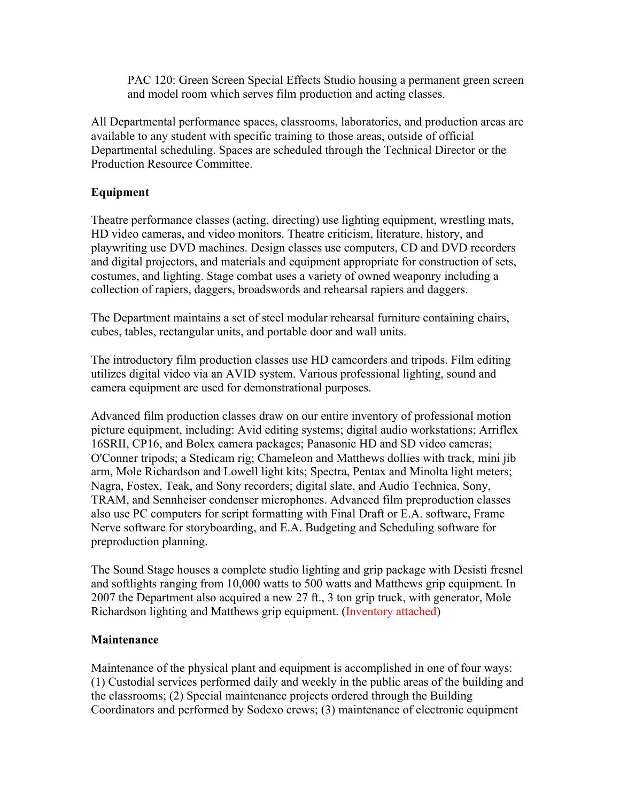PAC 120: Green Screen Special Effects Studio housing a permanent green screen and model room which serves film production and acting classes.

All Departmental performance spaces, classrooms, laboratories, and production areas are available to any student with specific training to those areas, outside of official Departmental scheduling. Spaces are scheduled through the Technical Director or the Production Resource Committee.

# **Equipment**

Theatre performance classes (acting, directing) use lighting equipment, wrestling mats, HD video cameras, and video monitors. Theatre criticism, literature, history, and playwriting use DVD machines. Design classes use computers, CD and DVD recorders and digital projectors, and materials and equipment appropriate for construction of sets, costumes, and lighting. Stage combat uses a variety of owned weaponry including a collection of rapiers, daggers, broadswords and rehearsal rapiers and daggers.

The Department maintains a set of steel modular rehearsal furniture containing chairs, cubes, tables, rectangular units, and portable door and wall units.

The introductory film production classes use HD camcorders and tripods. Film editing utilizes digital video via an AVID system. Various professional lighting, sound and camera equipment are used for demonstrational purposes.

Advanced film production classes draw on our entire inventory of professional motion picture equipment, including: Avid editing systems; digital audio workstations; Arriflex 16SRII, CP16, and Bolex camera packages; Panasonic HD and SD video cameras; O'Conner tripods; a Stedicam rig; Chameleon and Matthews dollies with track, mini jib arm, Mole Richardson and Lowell light kits; Spectra, Pentax and Minolta light meters; Nagra, Fostex, Teak, and Sony recorders; digital slate, and Audio Technica, Sony, TRAM, and Sennheiser condenser microphones. Advanced film preproduction classes also use PC computers for script formatting with Final Draft or E.A. software, Frame Nerve software for storyboarding, and E.A. Budgeting and Scheduling software for preproduction planning.

The Sound Stage houses a complete studio lighting and grip package with Desisti fresnel and softlights ranging from 10,000 watts to 500 watts and Matthews grip equipment. In 2007 the Department also acquired a new 27 ft., 3 ton grip truck, with generator, Mole Richardson lighting and Matthews grip equipment. (Inventory attached)

## **Maintenance**

Maintenance of the physical plant and equipment is accomplished in one of four ways: (1) Custodial services performed daily and weekly in the public areas of the building and the classrooms; (2) Special maintenance projects ordered through the Building Coordinators and performed by Sodexo crews; (3) maintenance of electronic equipment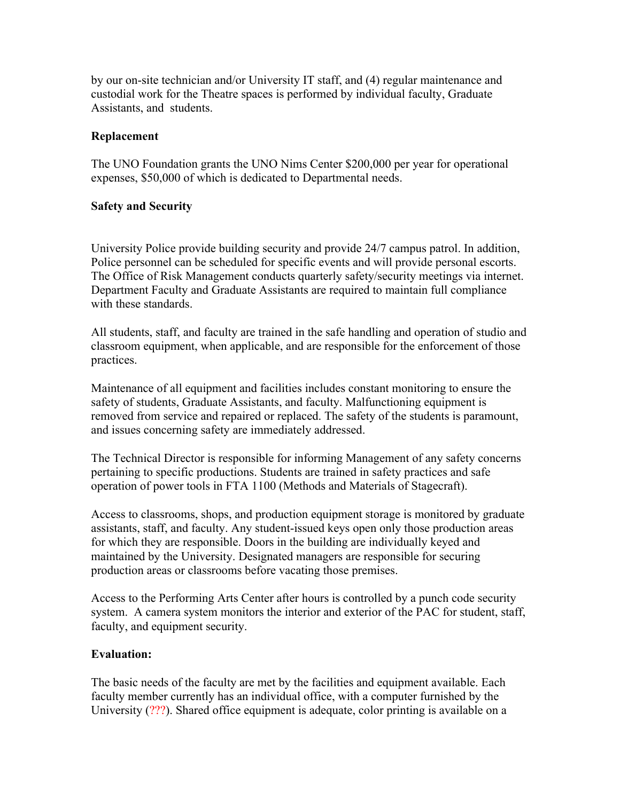by our on-site technician and/or University IT staff, and (4) regular maintenance and custodial work for the Theatre spaces is performed by individual faculty, Graduate Assistants, and students.

#### **Replacement**

The UNO Foundation grants the UNO Nims Center \$200,000 per year for operational expenses, \$50,000 of which is dedicated to Departmental needs.

#### **Safety and Security**

University Police provide building security and provide 24/7 campus patrol. In addition, Police personnel can be scheduled for specific events and will provide personal escorts. The Office of Risk Management conducts quarterly safety/security meetings via internet. Department Faculty and Graduate Assistants are required to maintain full compliance with these standards.

All students, staff, and faculty are trained in the safe handling and operation of studio and classroom equipment, when applicable, and are responsible for the enforcement of those practices.

Maintenance of all equipment and facilities includes constant monitoring to ensure the safety of students, Graduate Assistants, and faculty. Malfunctioning equipment is removed from service and repaired or replaced. The safety of the students is paramount, and issues concerning safety are immediately addressed.

The Technical Director is responsible for informing Management of any safety concerns pertaining to specific productions. Students are trained in safety practices and safe operation of power tools in FTA 1100 (Methods and Materials of Stagecraft).

Access to classrooms, shops, and production equipment storage is monitored by graduate assistants, staff, and faculty. Any student-issued keys open only those production areas for which they are responsible. Doors in the building are individually keyed and maintained by the University. Designated managers are responsible for securing production areas or classrooms before vacating those premises.

Access to the Performing Arts Center after hours is controlled by a punch code security system. A camera system monitors the interior and exterior of the PAC for student, staff, faculty, and equipment security.

#### **Evaluation:**

The basic needs of the faculty are met by the facilities and equipment available. Each faculty member currently has an individual office, with a computer furnished by the University (???). Shared office equipment is adequate, color printing is available on a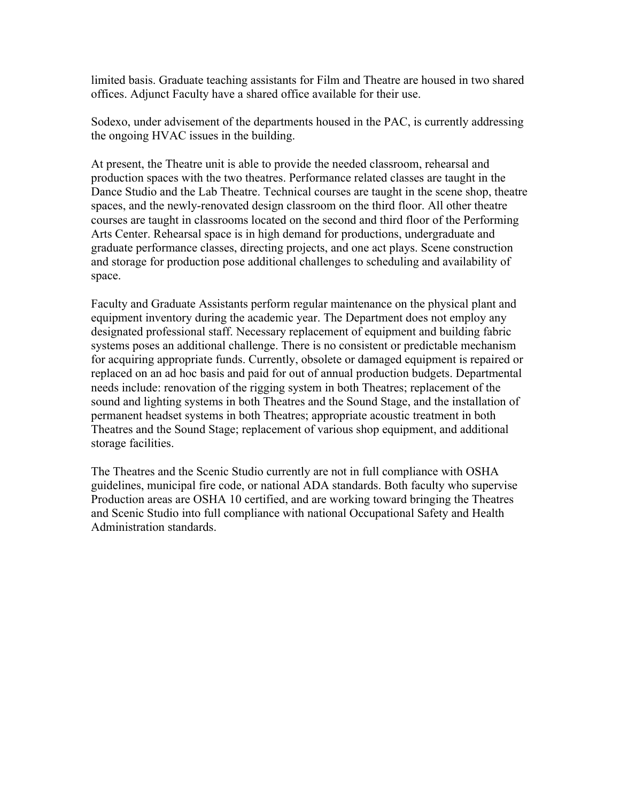limited basis. Graduate teaching assistants for Film and Theatre are housed in two shared offices. Adjunct Faculty have a shared office available for their use.

Sodexo, under advisement of the departments housed in the PAC, is currently addressing the ongoing HVAC issues in the building.

At present, the Theatre unit is able to provide the needed classroom, rehearsal and production spaces with the two theatres. Performance related classes are taught in the Dance Studio and the Lab Theatre. Technical courses are taught in the scene shop, theatre spaces, and the newly-renovated design classroom on the third floor. All other theatre courses are taught in classrooms located on the second and third floor of the Performing Arts Center. Rehearsal space is in high demand for productions, undergraduate and graduate performance classes, directing projects, and one act plays. Scene construction and storage for production pose additional challenges to scheduling and availability of space.

Faculty and Graduate Assistants perform regular maintenance on the physical plant and equipment inventory during the academic year. The Department does not employ any designated professional staff. Necessary replacement of equipment and building fabric systems poses an additional challenge. There is no consistent or predictable mechanism for acquiring appropriate funds. Currently, obsolete or damaged equipment is repaired or replaced on an ad hoc basis and paid for out of annual production budgets. Departmental needs include: renovation of the rigging system in both Theatres; replacement of the sound and lighting systems in both Theatres and the Sound Stage, and the installation of permanent headset systems in both Theatres; appropriate acoustic treatment in both Theatres and the Sound Stage; replacement of various shop equipment, and additional storage facilities.

The Theatres and the Scenic Studio currently are not in full compliance with OSHA guidelines, municipal fire code, or national ADA standards. Both faculty who supervise Production areas are OSHA 10 certified, and are working toward bringing the Theatres and Scenic Studio into full compliance with national Occupational Safety and Health Administration standards.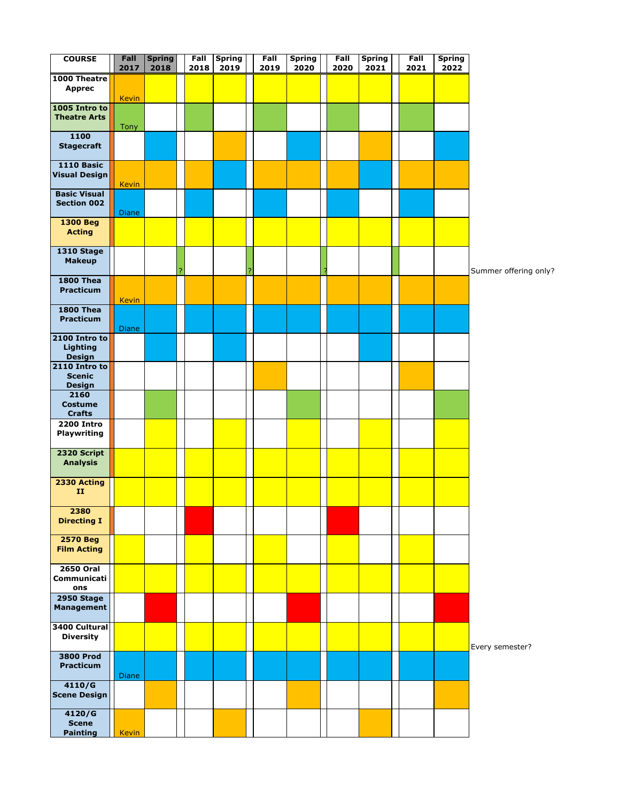| <b>COURSE</b>                                       | Fall<br>2017 | <b>Spring</b><br>2018 | Fall<br>2018 | <b>Spring</b><br>2019 |   | Fall<br>2019 | <b>Spring</b><br>2020 | Fall<br>2020 | <b>Spring</b><br>2021 | Fall<br>2021 | <b>Spring</b><br>2022 |                       |
|-----------------------------------------------------|--------------|-----------------------|--------------|-----------------------|---|--------------|-----------------------|--------------|-----------------------|--------------|-----------------------|-----------------------|
| 1000 Theatre<br><b>Apprec</b>                       | <b>Kevin</b> |                       |              |                       |   |              |                       |              |                       |              |                       |                       |
| 1005 Intro to<br><b>Theatre Arts</b>                | Tony         |                       |              |                       |   |              |                       |              |                       |              |                       |                       |
| 1100<br><b>Stagecraft</b>                           |              |                       |              |                       |   |              |                       |              |                       |              |                       |                       |
| <b>1110 Basic</b><br><b>Visual Design</b>           | <b>Kevin</b> |                       |              |                       |   |              |                       |              |                       |              |                       |                       |
| <b>Basic Visual</b><br><b>Section 002</b>           | Diane        |                       |              |                       |   |              |                       |              |                       |              |                       |                       |
| <b>1300 Beg</b><br><b>Acting</b>                    |              |                       |              |                       |   |              |                       |              |                       |              |                       |                       |
| <b>1310 Stage</b><br><b>Makeup</b>                  |              |                       |              |                       | ? |              |                       |              |                       |              |                       | Summer offering only? |
| <b>1800 Thea</b><br><b>Practicum</b>                | <b>Kevin</b> |                       |              |                       |   |              |                       |              |                       |              |                       |                       |
| <b>1800 Thea</b><br>Practicum                       | <b>Diane</b> |                       |              |                       |   |              |                       |              |                       |              |                       |                       |
| 2100 Intro to<br>Lighting<br><b>Design</b>          |              |                       |              |                       |   |              |                       |              |                       |              |                       |                       |
| 2110 Intro to<br><b>Scenic</b><br><b>Design</b>     |              |                       |              |                       |   |              |                       |              |                       |              |                       |                       |
| $\frac{1}{2160}$<br><b>Costume</b><br><b>Crafts</b> |              |                       |              |                       |   |              |                       |              |                       |              |                       |                       |
| <b>2200 Intro</b><br>Playwriting                    |              |                       |              |                       |   |              |                       |              |                       |              |                       |                       |
| 2320 Script<br><b>Analysis</b>                      |              |                       |              |                       |   |              |                       |              |                       |              |                       |                       |
| 2330 Acting<br>$\mathbf{H}$                         |              |                       |              |                       |   |              |                       |              |                       |              |                       |                       |
| 2380<br><b>Directing I</b>                          |              |                       |              |                       |   |              |                       |              |                       |              |                       |                       |
| <b>2570 Beg</b><br><b>Film Acting</b>               |              |                       |              |                       |   |              |                       |              |                       |              |                       |                       |
| <b>2650 Oral</b><br><b>Communicati</b><br>ons       |              |                       |              |                       |   |              |                       |              |                       |              |                       |                       |
| <b>2950 Stage</b><br><b>Management</b>              |              |                       |              |                       |   |              |                       |              |                       |              |                       |                       |
| 3400 Cultural<br><b>Diversity</b>                   |              |                       |              |                       |   |              |                       |              |                       |              |                       | Every semester?       |
| <b>3800 Prod</b><br><b>Practicum</b>                | Diane        |                       |              |                       |   |              |                       |              |                       |              |                       |                       |
| 4110/G<br><b>Scene Design</b>                       |              |                       |              |                       |   |              |                       |              |                       |              |                       |                       |
| 4120/G<br><b>Scene</b><br><b>Painting</b>           | <b>Kevin</b> |                       |              |                       |   |              |                       |              |                       |              |                       |                       |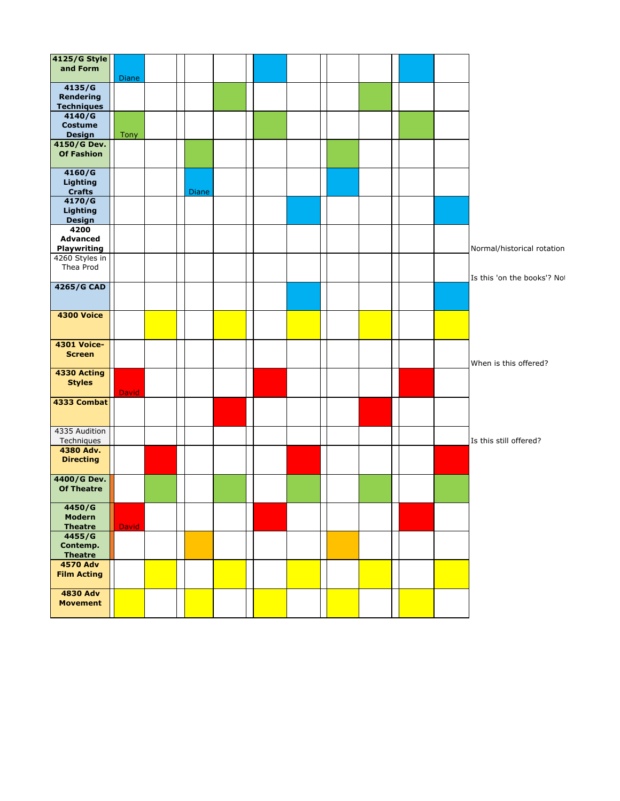| <b>4125/G Style</b>                   |              |       |  |  |  |  |  |                             |
|---------------------------------------|--------------|-------|--|--|--|--|--|-----------------------------|
| and Form                              | Diane        |       |  |  |  |  |  |                             |
| 4135/G<br>Rendering                   |              |       |  |  |  |  |  |                             |
| <b>Techniques</b>                     |              |       |  |  |  |  |  |                             |
| 4140/G                                |              |       |  |  |  |  |  |                             |
| <b>Costume</b><br><b>Design</b>       | Tony         |       |  |  |  |  |  |                             |
| 4150/G Dev.                           |              |       |  |  |  |  |  |                             |
| <b>Of Fashion</b>                     |              |       |  |  |  |  |  |                             |
| 4160/G<br><b>Lighting</b>             |              |       |  |  |  |  |  |                             |
| <b>Crafts</b>                         |              | Diane |  |  |  |  |  |                             |
| 4170/G                                |              |       |  |  |  |  |  |                             |
| Lighting<br><b>Design</b>             |              |       |  |  |  |  |  |                             |
| 4200<br><b>Advanced</b>               |              |       |  |  |  |  |  |                             |
| <b>Playwriting</b>                    |              |       |  |  |  |  |  | Normal/historical rotation  |
| 4260 Styles in                        |              |       |  |  |  |  |  |                             |
| Thea Prod                             |              |       |  |  |  |  |  | Is this 'on the books'? Not |
| 4265/G CAD                            |              |       |  |  |  |  |  |                             |
| <b>4300 Voice</b>                     |              |       |  |  |  |  |  |                             |
| <b>4301 Voice-</b><br><b>Screen</b>   |              |       |  |  |  |  |  | When is this offered?       |
| 4330 Acting<br><b>Styles</b>          |              |       |  |  |  |  |  |                             |
| 4333 Combat                           | <b>David</b> |       |  |  |  |  |  |                             |
| 4335 Audition                         |              |       |  |  |  |  |  |                             |
| Techniques                            |              |       |  |  |  |  |  | Is this still offered?      |
| 4380 Adv.<br><b>Directing</b>         |              |       |  |  |  |  |  |                             |
| 4400/G Dev.                           |              |       |  |  |  |  |  |                             |
| <b>Of Theatre</b>                     |              |       |  |  |  |  |  |                             |
| 4450/G                                |              |       |  |  |  |  |  |                             |
| Modern<br><b>Theatre</b>              | <b>David</b> |       |  |  |  |  |  |                             |
| 4455/G                                |              |       |  |  |  |  |  |                             |
| Contemp.<br><b>Theatre</b>            |              |       |  |  |  |  |  |                             |
| <b>4570 Adv</b><br><b>Film Acting</b> |              |       |  |  |  |  |  |                             |
| <b>4830 Adv</b>                       |              |       |  |  |  |  |  |                             |
| <b>Movement</b>                       |              |       |  |  |  |  |  |                             |
|                                       |              |       |  |  |  |  |  |                             |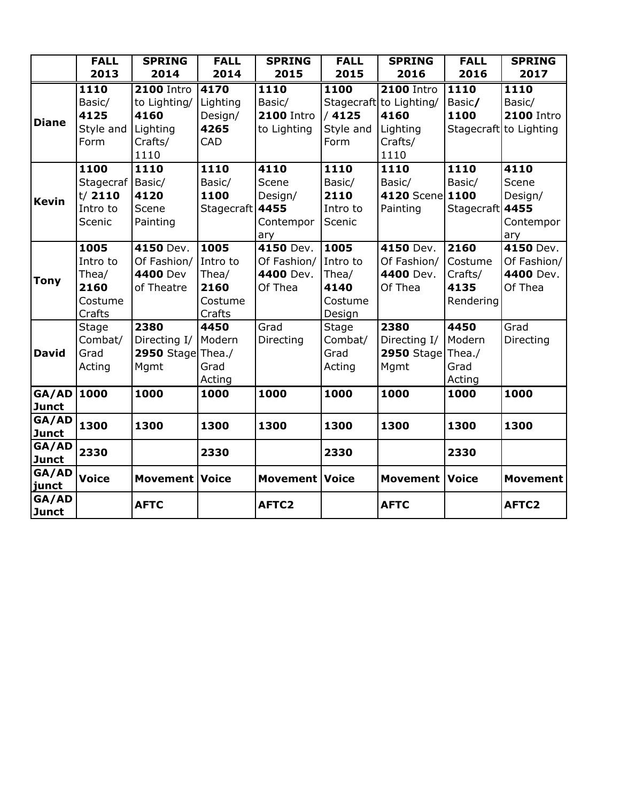|                       | <b>FALL</b>  | <b>SPRING</b>         | <b>FALL</b>     | <b>SPRING</b>         | <b>FALL</b>  | <b>SPRING</b>           | <b>FALL</b>     | <b>SPRING</b>          |
|-----------------------|--------------|-----------------------|-----------------|-----------------------|--------------|-------------------------|-----------------|------------------------|
|                       | 2013         | 2014                  | 2014            | 2015                  | 2015         | 2016                    | 2016            | 2017                   |
|                       | 1110         | <b>2100 Intro</b>     | 4170            | 1110                  | 1100         | <b>2100 Intro</b>       | 1110            | 1110                   |
|                       | Basic/       | to Lighting/          | Lighting        | Basic/                |              | Stagecraft to Lighting/ | Basic/          | Basic/                 |
| <b>Diane</b>          | 4125         | 4160                  | Design/         | <b>2100 Intro</b>     | /4125        | 4160                    | 1100            | <b>2100 Intro</b>      |
|                       | Style and    | Lighting              | 4265            | to Lighting           | Style and    | Lighting                |                 | Stagecraft to Lighting |
|                       | Form         | Crafts/               | CAD             |                       | Form         | Crafts/                 |                 |                        |
|                       |              | 1110                  |                 |                       |              | 1110                    |                 |                        |
|                       | 1100         | 1110                  | 1110            | 4110                  | 1110         | 1110                    | 1110            | 4110                   |
|                       | Stagecraf    | Basic/                | Basic/          | Scene                 | Basic/       | Basic/                  | Basic/          | Scene                  |
| <b>Kevin</b>          | t/2110       | 4120                  | 1100            | Design/               | 2110         | 4120 Scene 1100         |                 | Design/                |
|                       | Intro to     | Scene                 | Stagecraft 4455 |                       | Intro to     | Painting                | Stagecraft 4455 |                        |
|                       | Scenic       | Painting              |                 | Contempor             | Scenic       |                         |                 | Contempor              |
|                       |              |                       |                 | ary                   |              |                         |                 | ary                    |
|                       | 1005         | 4150 Dev.             | 1005            | 4150 Dev.             | 1005         | 4150 Dev.               | 2160            | 4150 Dev.              |
|                       | Intro to     | Of Fashion/           | Intro to        | Of Fashion/           | Intro to     | Of Fashion/             | Costume         | Of Fashion/            |
| <b>Tony</b>           | Thea/        | 4400 Dev              | Thea/           | 4400 Dev.             | Thea/        | 4400 Dev.               | Crafts/         | 4400 Dev.              |
|                       | 2160         | of Theatre            | 2160            | Of Thea               | 4140         | Of Thea                 | 4135            | Of Thea                |
|                       | Costume      |                       | Costume         |                       | Costume      |                         | Rendering       |                        |
|                       | Crafts       |                       | Crafts          |                       | Design       |                         |                 |                        |
|                       | <b>Stage</b> | 2380                  | 4450            | Grad                  | <b>Stage</b> | 2380                    | 4450            | Grad                   |
|                       | Combat/      | Directing I/          | Modern          | Directing             | Combat/      | Directing I/            | Modern          | Directing              |
| <b>David</b>          | Grad         | 2950 Stage Thea./     |                 |                       | Grad         | 2950 Stage Thea./       |                 |                        |
|                       | Acting       | Mgmt                  | Grad            |                       | Acting       | Mgmt                    | Grad            |                        |
|                       |              |                       | Acting          |                       |              |                         | Acting          |                        |
| GA/AD                 | 1000         | 1000                  | 1000            | 1000                  | 1000         | 1000                    | 1000            | 1000                   |
| <b>Junct</b><br>GA/AD |              |                       |                 |                       |              |                         |                 |                        |
| <b>Junct</b>          | 1300         | 1300                  | 1300            | 1300                  | 1300         | 1300                    | 1300            | 1300                   |
| GA/AD                 |              |                       |                 |                       |              |                         |                 |                        |
| <b>Junct</b>          | 2330         |                       | 2330            |                       | 2330         |                         | 2330            |                        |
| GA/AD                 |              |                       |                 |                       |              |                         |                 |                        |
| junct                 | <b>Voice</b> | <b>Movement Voice</b> |                 | <b>Movement Voice</b> |              | <b>Movement Voice</b>   |                 | <b>Movement</b>        |
| GA/AD                 |              | <b>AFTC</b>           |                 | AFTC <sub>2</sub>     |              | <b>AFTC</b>             |                 | AFTC2                  |
| <b>Junct</b>          |              |                       |                 |                       |              |                         |                 |                        |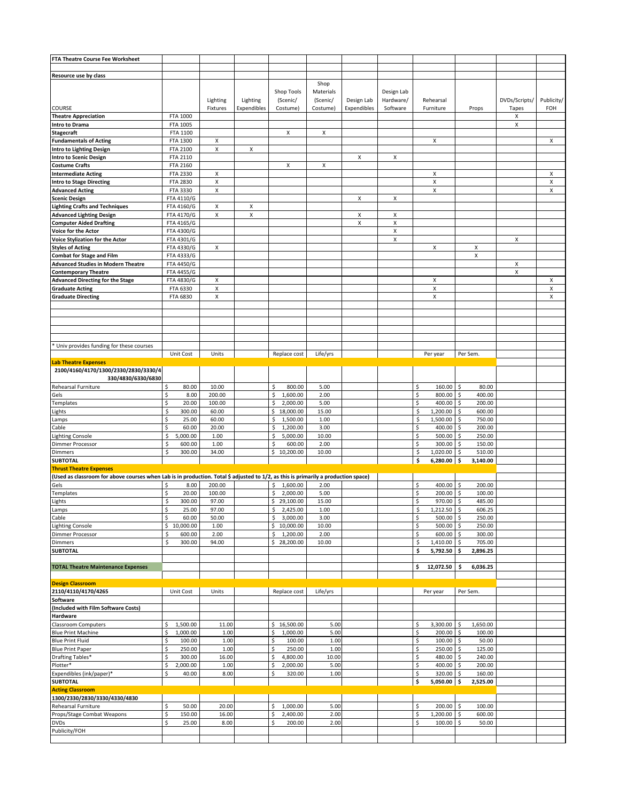| FTA Theatre Course Fee Worksheet                                                                                                   |                |          |             |                 |           |             |            |                      |                   |               |            |
|------------------------------------------------------------------------------------------------------------------------------------|----------------|----------|-------------|-----------------|-----------|-------------|------------|----------------------|-------------------|---------------|------------|
|                                                                                                                                    |                |          |             |                 |           |             |            |                      |                   |               |            |
| Resource use by class                                                                                                              |                |          |             |                 |           |             |            |                      |                   |               |            |
|                                                                                                                                    |                |          |             |                 | Shop      |             |            |                      |                   |               |            |
|                                                                                                                                    |                |          |             | Shop Tools      | Materials |             | Design Lab |                      |                   |               |            |
|                                                                                                                                    |                | Lighting | Lighting    | (Scenic/        | (Scenic/  | Design Lab  | Hardware/  | Rehearsal            |                   | DVDs/Scripts/ | Publicity/ |
| COURSE                                                                                                                             |                | Fixtures | Expendibles | Costume)        | Costume)  | Expendibles | Software   | Furniture            | Props             | Tapes         | FOH        |
| <b>Theatre Appreciation</b>                                                                                                        | FTA 1000       |          |             |                 |           |             |            |                      |                   | Χ             |            |
| <b>Intro to Drama</b>                                                                                                              | FTA 1005       |          |             |                 |           |             |            |                      |                   | X             |            |
| <b>Stagecraft</b>                                                                                                                  | FTA 1100       |          |             | X               | X         |             |            |                      |                   |               |            |
| <b>Fundamentals of Acting</b>                                                                                                      | FTA 1300       | X        |             |                 |           |             |            | Χ                    |                   |               | х          |
|                                                                                                                                    |                |          |             |                 |           |             |            |                      |                   |               |            |
| <b>Intro to Lighting Design</b>                                                                                                    | FTA 2100       | Х        | x           |                 |           |             |            |                      |                   |               |            |
| <b>Intro to Scenic Design</b>                                                                                                      | FTA 2110       |          |             |                 |           | x           | х          |                      |                   |               |            |
| <b>Costume Crafts</b>                                                                                                              | FTA 2160       |          |             | X               | X         |             |            |                      |                   |               |            |
| <b>Intermediate Acting</b>                                                                                                         | FTA 2330       | Х        |             |                 |           |             |            | X                    |                   |               | X          |
| <b>Intro to Stage Directing</b>                                                                                                    | FTA 2830       | Х        |             |                 |           |             |            | Χ                    |                   |               | X          |
| <b>Advanced Acting</b>                                                                                                             | FTA 3330       | X        |             |                 |           |             |            | X                    |                   |               | X          |
| <b>Scenic Design</b>                                                                                                               | FTA 4110/G     |          |             |                 |           | Χ           | Χ          |                      |                   |               |            |
| <b>Lighting Crafts and Techniques</b>                                                                                              | FTA 4160/G     | X        | X           |                 |           |             |            |                      |                   |               |            |
| <b>Advanced Lighting Design</b>                                                                                                    | FTA 4170/G     | X        | Χ           |                 |           | x           | X          |                      |                   |               |            |
|                                                                                                                                    |                |          |             |                 |           | Χ           | X          |                      |                   |               |            |
| <b>Computer Aided Drafting</b>                                                                                                     | FTA 4165/G     |          |             |                 |           |             |            |                      |                   |               |            |
| Voice for the Actor                                                                                                                | FTA 4300/G     |          |             |                 |           |             | X          |                      |                   |               |            |
| Voice Stylization for the Actor                                                                                                    | FTA 4301/G     |          |             |                 |           |             | X          |                      |                   | X             |            |
| <b>Styles of Acting</b>                                                                                                            | FTA 4330/G     | X        |             |                 |           |             |            | х                    | Х                 |               |            |
| <b>Combat for Stage and Film</b>                                                                                                   | FTA 4333/G     |          |             |                 |           |             |            |                      | Χ                 |               |            |
| <b>Advanced Studies in Modern Theatre</b>                                                                                          | FTA 4450/G     |          |             |                 |           |             |            |                      |                   | X             |            |
| <b>Contemporary Theatre</b>                                                                                                        | FTA 4455/G     |          |             |                 |           |             |            |                      |                   | X             |            |
| <b>Advanced Directing for the Stage</b>                                                                                            | FTA 4830/G     | х        |             |                 |           |             |            | х                    |                   |               | X          |
| <b>Graduate Acting</b>                                                                                                             | FTA 6330       | X        |             |                 |           |             |            | X                    |                   |               | X          |
|                                                                                                                                    |                |          |             |                 |           |             |            |                      |                   |               |            |
| <b>Graduate Directing</b>                                                                                                          | FTA 6830       | х        |             |                 |           |             |            | Χ                    |                   |               | X          |
|                                                                                                                                    |                |          |             |                 |           |             |            |                      |                   |               |            |
|                                                                                                                                    |                |          |             |                 |           |             |            |                      |                   |               |            |
|                                                                                                                                    |                |          |             |                 |           |             |            |                      |                   |               |            |
|                                                                                                                                    |                |          |             |                 |           |             |            |                      |                   |               |            |
|                                                                                                                                    |                |          |             |                 |           |             |            |                      |                   |               |            |
| * Univ provides funding for these courses                                                                                          |                |          |             |                 |           |             |            |                      |                   |               |            |
|                                                                                                                                    | Unit Cost      | Units    |             | Replace cost    | Life/yrs  |             |            | Per year             | Per Sem.          |               |            |
| <b>Lab Theatre Expenses</b>                                                                                                        |                |          |             |                 |           |             |            |                      |                   |               |            |
|                                                                                                                                    |                |          |             |                 |           |             |            |                      |                   |               |            |
| 2100/4160/4170/1300/2330/2830/3330/4                                                                                               |                |          |             |                 |           |             |            |                      |                   |               |            |
| 330/4830/6330/6830                                                                                                                 |                |          |             |                 |           |             |            |                      |                   |               |            |
| Rehearsal Furniture                                                                                                                | 80.00<br>\$    | 10.00    |             | \$<br>800.00    | 5.00      |             |            | \$<br>160.00         | \$<br>80.00       |               |            |
| Gels                                                                                                                               | \$<br>8.00     | 200.00   |             | \$<br>1,600.00  | 2.00      |             |            | \$<br>800.00         | \$<br>400.00      |               |            |
| Templates                                                                                                                          | \$<br>20.00    | 100.00   |             | \$<br>2,000.00  | 5.00      |             |            | \$<br>400.00         | \$<br>200.00      |               |            |
| Lights                                                                                                                             | \$<br>300.00   | 60.00    |             | \$18,000.00     | 15.00     |             |            | \$<br>1,200.00       | \$<br>600.00      |               |            |
| Lamps                                                                                                                              | \$<br>25.00    | 60.00    |             | \$<br>1,500.00  | 1.00      |             |            | \$<br>1,500.00       | \$<br>750.00      |               |            |
| Cable                                                                                                                              | \$<br>60.00    | 20.00    |             | \$<br>1,200.00  | 3.00      |             |            | \$<br>400.00         | \$<br>200.00      |               |            |
|                                                                                                                                    |                |          |             |                 |           |             |            |                      |                   |               |            |
| <b>Lighting Console</b>                                                                                                            | \$<br>5,000.00 | 1.00     |             | 5,000.00<br>\$  | 10.00     |             |            | \$<br>500.00         | \$<br>250.00      |               |            |
| <b>Dimmer Processor</b>                                                                                                            | \$<br>600.00   | 1.00     |             | \$<br>600.00    | 2.00      |             |            | \$<br>300.00         | \$<br>150.00      |               |            |
| <b>Dimmers</b>                                                                                                                     | Ŝ.<br>300.00   | 34.00    |             | \$10,200.00     | 10.00     |             |            | \$<br>1,020.00       | \$<br>510.00      |               |            |
| <b>SUBTOTAL</b>                                                                                                                    |                |          |             |                 |           |             |            | \$<br>6,280.00 \$    | 3,140.00          |               |            |
| <b>Thrust Theatre Expenses</b>                                                                                                     |                |          |             |                 |           |             |            |                      |                   |               |            |
| (Used as classroom for above courses when Lab is in production. Total \$ adjusted to 1/2, as this is primarily a production space) |                |          |             |                 |           |             |            |                      |                   |               |            |
| Gels                                                                                                                               | \$<br>8.00     | 200.00   |             | 1,600.00<br>\$  | 2.00      |             |            | \$<br>400.00         | \$<br>200.00      |               |            |
| Templates                                                                                                                          | \$<br>20.00    | 100.00   |             | \$<br>2.000.00  | 5.00      |             |            | \$<br>200.00         | \$<br>100.00      |               |            |
|                                                                                                                                    |                |          |             |                 |           |             |            |                      |                   |               |            |
| Lights                                                                                                                             | \$<br>300.00   | 97.00    |             | \$<br>29,100.00 | 15.00     |             |            | \$<br>970.00         | \$<br>485.00      |               |            |
| Lamps                                                                                                                              | Ş<br>25.00     | 97.00    |             | \$.<br>2,425.00 | 1.00      |             |            | \$,<br>$1,212.50$ \$ | 606.25            |               |            |
| Cable                                                                                                                              | \$<br>60.00    | 50.00    |             | \$<br>3,000.00  | 3.00      |             |            | \$<br>500.00         | \$<br>250.00      |               |            |
| <b>Lighting Console</b>                                                                                                            | \$10,000.00    | 1.00     |             | \$10,000.00     | 10.00     |             |            | \$<br>500.00         | \$<br>250.00      |               |            |
| <b>Dimmer Processor</b>                                                                                                            | \$<br>600.00   | 2.00     |             | 1,200.00<br>\$  | 2.00      |             |            | \$<br>600.00         | 300.00<br>\$      |               |            |
| <b>Dimmers</b>                                                                                                                     | \$<br>300.00   | 94.00    |             | \$28,200.00     | 10.00     |             |            | \$<br>1,410.00       | \$<br>705.00      |               |            |
| <b>SUBTOTAL</b>                                                                                                                    |                |          |             |                 |           |             |            | \$<br>5,792.50       | \$<br>2,896.25    |               |            |
|                                                                                                                                    |                |          |             |                 |           |             |            |                      |                   |               |            |
| <b>TOTAL Theatre Maintenance Expenses</b>                                                                                          |                |          |             |                 |           |             |            | \$<br>12,072.50      | \$<br>6,036.25    |               |            |
|                                                                                                                                    |                |          |             |                 |           |             |            |                      |                   |               |            |
|                                                                                                                                    |                |          |             |                 |           |             |            |                      |                   |               |            |
| <b>Design Classroom</b>                                                                                                            |                |          |             |                 |           |             |            |                      |                   |               |            |
| 2110/4110/4170/4265                                                                                                                | Unit Cost      | Units    |             | Replace cost    | Life/yrs  |             |            | Per year             | Per Sem.          |               |            |
| Software                                                                                                                           |                |          |             |                 |           |             |            |                      |                   |               |            |
| (Included with Film Software Costs)                                                                                                |                |          |             |                 |           |             |            |                      |                   |               |            |
| Hardware                                                                                                                           |                |          |             |                 |           |             |            |                      |                   |               |            |
| <b>Classroom Computers</b>                                                                                                         | 1,500.00<br>\$ | 11.00    |             | \$16,500.00     | 5.00      |             |            | 3,300.00 \$<br>\$    | 1,650.00          |               |            |
| <b>Blue Print Machine</b>                                                                                                          |                |          |             |                 |           |             |            |                      |                   |               |            |
|                                                                                                                                    | \$<br>1,000.00 | 1.00     |             | \$<br>1,000.00  | 5.00      |             |            | \$<br>200.00         | \$<br>100.00      |               |            |
| <b>Blue Print Fluid</b>                                                                                                            | \$<br>100.00   | 1.00     |             | \$<br>100.00    | 1.00      |             |            | \$<br>100.00         | \$<br>50.00       |               |            |
| <b>Blue Print Paper</b>                                                                                                            | \$<br>250.00   | 1.00     |             | \$<br>250.00    | 1.00      |             |            | \$<br>250.00         | 125.00<br>∣\$     |               |            |
| Drafting Tables*                                                                                                                   | \$<br>300.00   | 16.00    |             | \$<br>4,800.00  | 10.00     |             |            | \$<br>480.00         | \$<br>240.00      |               |            |
| Plotter*                                                                                                                           | \$<br>2,000.00 | 1.00     |             | \$<br>2,000.00  | 5.00      |             |            | \$<br>400.00         | $\zeta$<br>200.00 |               |            |
| Expendibles (ink/paper)*                                                                                                           | \$<br>40.00    | 8.00     |             | \$<br>320.00    | 1.00      |             |            | \$<br>320.00 \$      | 160.00            |               |            |
| <b>SUBTOTAL</b>                                                                                                                    |                |          |             |                 |           |             |            | \$<br>5,050.00 \$    | 2,525.00          |               |            |
| <b>Acting Classroom</b>                                                                                                            |                |          |             |                 |           |             |            |                      |                   |               |            |
|                                                                                                                                    |                |          |             |                 |           |             |            |                      |                   |               |            |
| 1300/2330/2830/3330/4330/4830                                                                                                      |                |          |             |                 |           |             |            |                      |                   |               |            |
| Rehearsal Furniture                                                                                                                | \$<br>50.00    | 20.00    |             | \$<br>1,000.00  | 5.00      |             |            | \$<br>200.00         | \$<br>100.00      |               |            |
| Props/Stage Combat Weapons                                                                                                         | \$<br>150.00   | 16.00    |             | \$<br>2,400.00  | 2.00      |             |            | \$<br>1,200.00       | \$<br>600.00      |               |            |
| <b>DVDs</b>                                                                                                                        | \$<br>25.00    | 8.00     |             | \$<br>200.00    | 2.00      |             |            | Ś<br>100.00          | 50.00<br>\$       |               |            |
| Publicity/FOH                                                                                                                      |                |          |             |                 |           |             |            |                      |                   |               |            |
|                                                                                                                                    |                |          |             |                 |           |             |            |                      |                   |               |            |
|                                                                                                                                    |                |          |             |                 |           |             |            |                      |                   |               |            |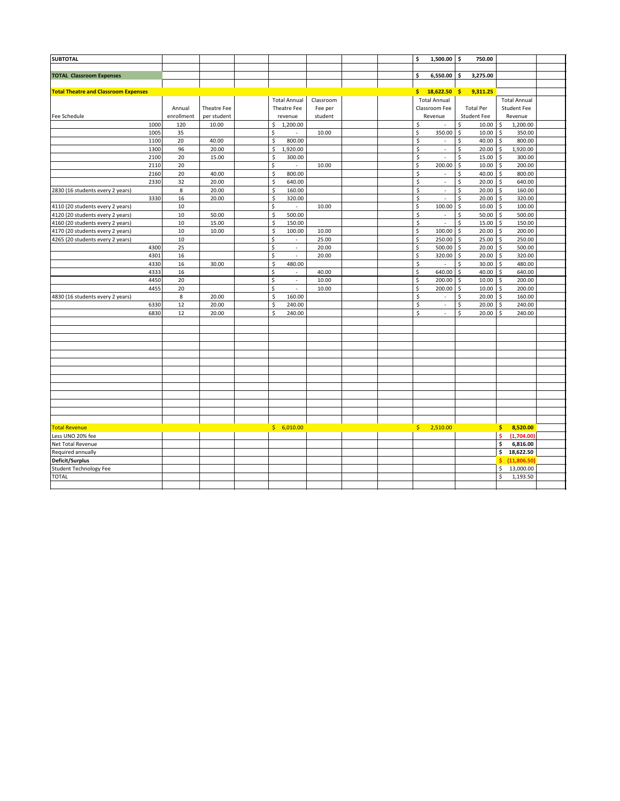| <b>SUBTOTAL</b>                             |            |             |                                   |           |  | \$<br>$1,500.00$ \$      |                          | 750.00                        |                                       |  |
|---------------------------------------------|------------|-------------|-----------------------------------|-----------|--|--------------------------|--------------------------|-------------------------------|---------------------------------------|--|
|                                             |            |             |                                   |           |  |                          |                          |                               |                                       |  |
| <b>TOTAL Classroom Expenses</b>             |            |             |                                   |           |  | 6,550.00<br>\$           |                          | \$.<br>3,275.00               |                                       |  |
|                                             |            |             |                                   |           |  |                          |                          |                               |                                       |  |
| <b>Total Theatre and Classroom Expenses</b> |            |             |                                   |           |  | $18,622.50$ \$<br>\$     |                          | 9,311.25                      |                                       |  |
|                                             |            |             | <b>Total Annual</b>               | Classroom |  | <b>Total Annual</b>      |                          |                               | <b>Total Annual</b>                   |  |
|                                             | Annual     | Theatre Fee | Theatre Fee                       | Fee per   |  | Classroom Fee            |                          | <b>Total Per</b>              | <b>Student Fee</b>                    |  |
| Fee Schedule                                | enrollment | per student | revenue                           | student   |  | Revenue                  |                          | <b>Student Fee</b>            | Revenue                               |  |
| 1000                                        | 120        | 10.00       | \$<br>1,200.00                    |           |  | \$                       |                          | \$<br>10.00                   | 1,200.00<br>\$                        |  |
| 1005                                        | 35         |             | \$                                | 10.00     |  | \$<br>350.00             |                          | $\boldsymbol{\zeta}$<br>10.00 | $\zeta$<br>350.00                     |  |
| 1100                                        | 20         | 40.00       | \$<br>800.00                      |           |  | \$                       | $\sim$                   | \$<br>40.00                   | -\$<br>800.00                         |  |
| 1300                                        | 96         | 20.00       | \$<br>1,920.00                    |           |  | \$                       | $\sim$                   | \$<br>20.00                   | $\zeta$<br>1,920.00                   |  |
| 2100                                        | 20         | 15.00       | \$<br>300.00                      |           |  | \$                       | ×.                       | \$<br>15.00                   | 300.00<br>\$                          |  |
| 2110                                        | 20         |             | \$                                | 10.00     |  | \$<br>200.00             |                          | \$<br>10.00                   | $\zeta$<br>200.00                     |  |
| 2160                                        | 20         | 40.00       | \$<br>800.00                      |           |  | \$                       | ÷.                       | Ś<br>40.00                    | $\mathsf{\hat{S}}$<br>800.00          |  |
| 2330                                        | 32         | 20.00       | $\overline{\xi}$<br>640.00        |           |  | \$                       | $\sim$                   | \$<br>20.00                   | 640.00<br>-\$                         |  |
| 2830 (16 students every 2 years)            | 8          | 20.00       | \$<br>160.00                      |           |  | \$                       | $\sim$                   | \$<br>20.00                   | \$<br>160.00                          |  |
| 3330                                        | 16         | 20.00       | \$<br>320.00                      |           |  | \$                       | $\epsilon$               | 20.00<br>\$                   | 320.00<br>\$                          |  |
| 4110 (20 students every 2 years)            | 10         |             | \$<br>$\overline{\phantom{a}}$    | 10.00     |  | \$<br>100.00             |                          | Ś<br>10.00                    | $\zeta$<br>100.00                     |  |
| 4120 (20 students every 2 years)            | 10         | 50.00       | \$<br>500.00                      |           |  | \$                       | $\overline{\phantom{a}}$ | \$<br>50.00                   | $\zeta$<br>500.00                     |  |
| 4160 (20 students every 2 years)            | 10         | 15.00       | \$<br>150.00                      |           |  | \$                       | $\sim$                   | 15.00<br>\$                   | 150.00<br>$\zeta$                     |  |
| 4170 (20 students every 2 years)            | 10         | 10.00       | $\zeta$<br>100.00                 | 10.00     |  | \$<br>100.00             |                          | \$<br>20.00                   | S.<br>200.00                          |  |
| 4265 (20 students every 2 years)            | 10         |             | \$<br>×.                          | 25.00     |  | 250.00<br>\$             |                          | 25.00<br>l\$                  | 250.00<br>l\$                         |  |
| 4300                                        | 25         |             | \$<br>$\mathcal{L}_{\mathcal{A}}$ | 20.00     |  | Ś<br>500.00              |                          | $\zeta$<br>20.00              | $\zeta$<br>500.00                     |  |
| 4301                                        | 16         |             | \$                                | 20.00     |  | \$<br>320.00             |                          | \$<br>20.00                   | \$<br>320.00                          |  |
| 4330                                        | 16         | 30.00       | \$<br>480.00                      |           |  | \$                       | $\sim$                   | 30.00<br>\$                   | 480.00<br>\$                          |  |
| 4333                                        | 16         |             | \$<br>$\sim$                      | 40.00     |  | Ś<br>640.00              |                          | \$<br>40.00                   | \$<br>640.00                          |  |
| 4450                                        | 20         |             | \$<br>$\overline{\phantom{a}}$    | 10.00     |  | Ś<br>200.00              |                          | \$<br>10.00                   | 200.00<br>-\$                         |  |
| 4455                                        | 20         |             | \$<br>$\overline{\phantom{a}}$    | 10.00     |  | Ś<br>200.00              |                          | \$<br>10.00                   | 200.00<br>-S                          |  |
| 4830 (16 students every 2 years)            | 8          | 20.00       | \$<br>160.00                      |           |  | \$                       | $\sim$                   | Ś<br>20.00                    | 160.00<br>\$                          |  |
| 6330                                        | 12         | 20.00       | \$<br>240.00                      |           |  | \$                       | $\overline{\phantom{a}}$ | \$<br>20.00                   | 240.00<br>-S                          |  |
| 6830                                        | 12         | 20.00       | Ś<br>240.00                       |           |  | Ś                        | ÷.                       | Ś<br>20.00                    | 240.00<br>Ŝ                           |  |
|                                             |            |             |                                   |           |  |                          |                          |                               |                                       |  |
|                                             |            |             |                                   |           |  |                          |                          |                               |                                       |  |
|                                             |            |             |                                   |           |  |                          |                          |                               |                                       |  |
|                                             |            |             |                                   |           |  |                          |                          |                               |                                       |  |
|                                             |            |             |                                   |           |  |                          |                          |                               |                                       |  |
|                                             |            |             |                                   |           |  |                          |                          |                               |                                       |  |
|                                             |            |             |                                   |           |  |                          |                          |                               |                                       |  |
|                                             |            |             |                                   |           |  |                          |                          |                               |                                       |  |
|                                             |            |             |                                   |           |  |                          |                          |                               |                                       |  |
|                                             |            |             |                                   |           |  |                          |                          |                               |                                       |  |
|                                             |            |             |                                   |           |  |                          |                          |                               |                                       |  |
|                                             |            |             |                                   |           |  |                          |                          |                               |                                       |  |
|                                             |            |             |                                   |           |  |                          |                          |                               |                                       |  |
| <b>Total Revenue</b>                        |            |             | \$6,010.00                        |           |  | $\frac{1}{2}$ , 2,510.00 |                          |                               | 8,520.00<br>\$                        |  |
| Less UNO 20% fee                            |            |             |                                   |           |  |                          |                          |                               | $\overline{\mathsf{s}}$<br>(1,704.00) |  |
| Net Total Revenue                           |            |             |                                   |           |  |                          |                          |                               | \$<br>6,816.00                        |  |
| Required annually                           |            |             |                                   |           |  |                          |                          |                               | \$<br>18,622.50                       |  |
| Deficit/Surplus                             |            |             |                                   |           |  |                          |                          |                               | (11,806.50)<br>Ŝ.                     |  |
| <b>Student Technology Fee</b>               |            |             |                                   |           |  |                          |                          |                               | \$<br>13,000.00                       |  |
| <b>TOTAL</b>                                |            |             |                                   |           |  |                          |                          |                               | \$<br>1,193.50                        |  |
|                                             |            |             |                                   |           |  |                          |                          |                               |                                       |  |
|                                             |            |             |                                   |           |  |                          |                          |                               |                                       |  |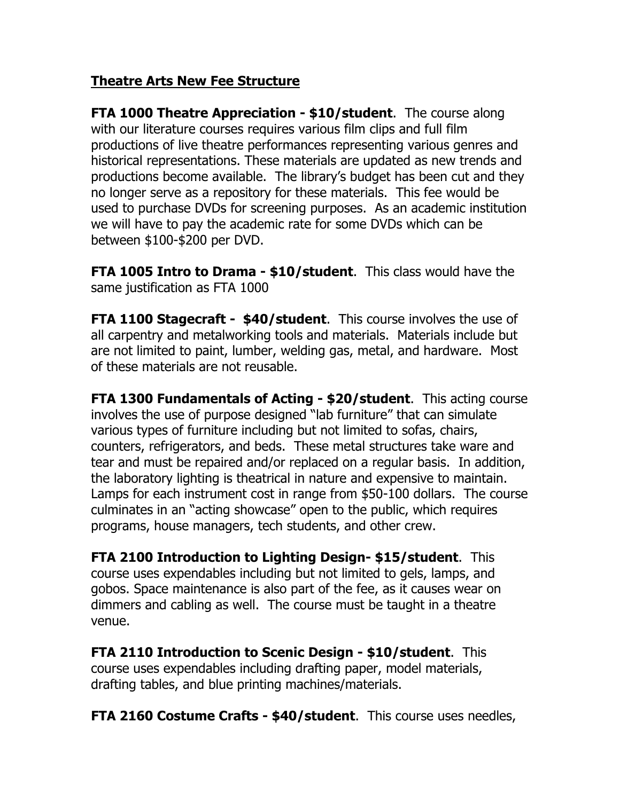# **Theatre Arts New Fee Structure**

**FTA 1000 Theatre Appreciation - \$10/student**. The course along with our literature courses requires various film clips and full film productions of live theatre performances representing various genres and historical representations. These materials are updated as new trends and productions become available. The library's budget has been cut and they no longer serve as a repository for these materials. This fee would be used to purchase DVDs for screening purposes. As an academic institution we will have to pay the academic rate for some DVDs which can be between \$100-\$200 per DVD.

**FTA 1005 Intro to Drama - \$10/student**. This class would have the same justification as FTA 1000

**FTA 1100 Stagecraft - \$40/student**. This course involves the use of all carpentry and metalworking tools and materials. Materials include but are not limited to paint, lumber, welding gas, metal, and hardware. Most of these materials are not reusable.

**FTA 1300 Fundamentals of Acting - \$20/student**. This acting course involves the use of purpose designed "lab furniture" that can simulate various types of furniture including but not limited to sofas, chairs, counters, refrigerators, and beds. These metal structures take ware and tear and must be repaired and/or replaced on a regular basis. In addition, the laboratory lighting is theatrical in nature and expensive to maintain. Lamps for each instrument cost in range from \$50-100 dollars. The course culminates in an "acting showcase" open to the public, which requires programs, house managers, tech students, and other crew.

**FTA 2100 Introduction to Lighting Design- \$15/student**. This course uses expendables including but not limited to gels, lamps, and gobos. Space maintenance is also part of the fee, as it causes wear on dimmers and cabling as well. The course must be taught in a theatre venue.

**FTA 2110 Introduction to Scenic Design - \$10/student**. This course uses expendables including drafting paper, model materials, drafting tables, and blue printing machines/materials.

**FTA 2160 Costume Crafts - \$40/student**. This course uses needles,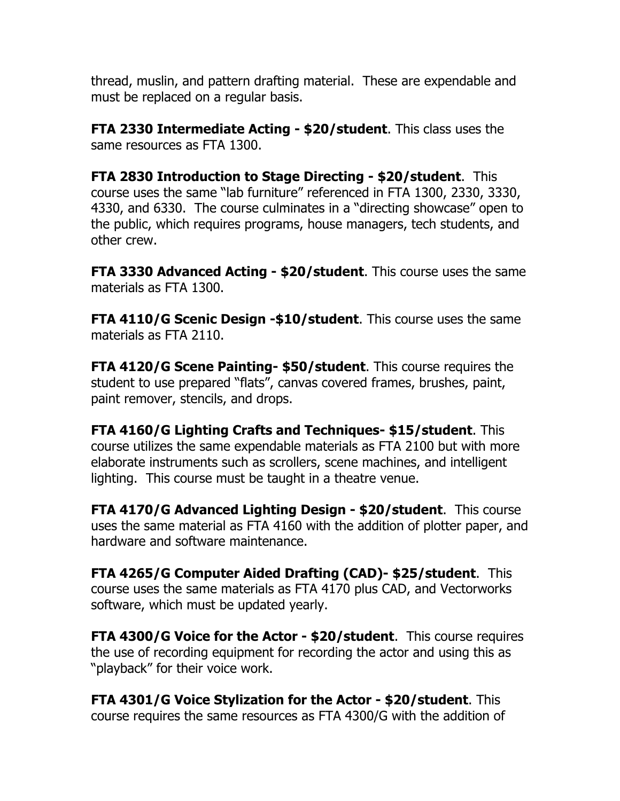thread, muslin, and pattern drafting material. These are expendable and must be replaced on a regular basis.

**FTA 2330 Intermediate Acting - \$20/student**. This class uses the same resources as FTA 1300.

**FTA 2830 Introduction to Stage Directing - \$20/student**. This course uses the same "lab furniture" referenced in FTA 1300, 2330, 3330, 4330, and 6330. The course culminates in a "directing showcase" open to the public, which requires programs, house managers, tech students, and other crew.

**FTA 3330 Advanced Acting - \$20/student**. This course uses the same materials as FTA 1300.

**FTA 4110/G Scenic Design -\$10/student**. This course uses the same materials as FTA 2110.

**FTA 4120/G Scene Painting- \$50/student**. This course requires the student to use prepared "flats", canvas covered frames, brushes, paint, paint remover, stencils, and drops.

**FTA 4160/G Lighting Crafts and Techniques- \$15/student**. This course utilizes the same expendable materials as FTA 2100 but with more elaborate instruments such as scrollers, scene machines, and intelligent lighting. This course must be taught in a theatre venue.

**FTA 4170/G Advanced Lighting Design - \$20/student**. This course uses the same material as FTA 4160 with the addition of plotter paper, and hardware and software maintenance.

**FTA 4265/G Computer Aided Drafting (CAD)- \$25/student**. This course uses the same materials as FTA 4170 plus CAD, and Vectorworks software, which must be updated yearly.

**FTA 4300/G Voice for the Actor - \$20/student**. This course requires the use of recording equipment for recording the actor and using this as "playback" for their voice work.

**FTA 4301/G Voice Stylization for the Actor - \$20/student**. This course requires the same resources as FTA 4300/G with the addition of